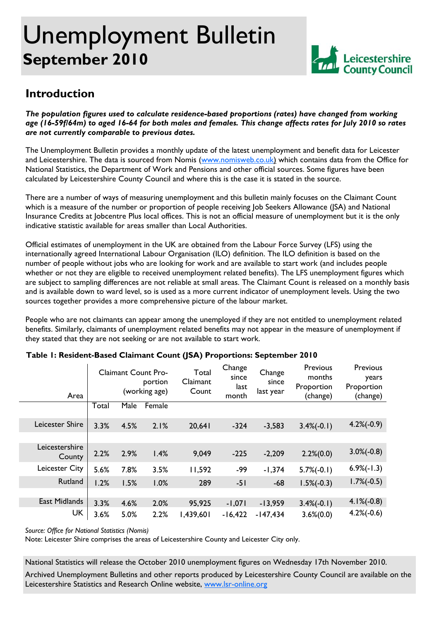# Unemployment Bulletin **September 2010**



## **Introduction**

*The population figures used to calculate residence-based proportions (rates) have changed from working age (16-59f/64m) to aged 16-64 for both males and females. This change affects rates for July 2010 so rates are not currently comparable to previous dates.* 

The Unemployment Bulletin provides a monthly update of the latest unemployment and benefit data for Leicester and Leicestershire. The data is sourced from Nomis (www.nomisweb.co.uk) which contains data from the Office for National Statistics, the Department of Work and Pensions and other official sources. Some figures have been calculated by Leicestershire County Council and where this is the case it is stated in the source.

There are a number of ways of measuring unemployment and this bulletin mainly focuses on the Claimant Count which is a measure of the number or proportion of people receiving Job Seekers Allowance (JSA) and National Insurance Credits at Jobcentre Plus local offices. This is not an official measure of unemployment but it is the only indicative statistic available for areas smaller than Local Authorities.

Official estimates of unemployment in the UK are obtained from the Labour Force Survey (LFS) using the internationally agreed International Labour Organisation (ILO) definition. The ILO definition is based on the number of people without jobs who are looking for work and are available to start work (and includes people whether or not they are eligible to received unemployment related benefits). The LFS unemployment figures which are subject to sampling differences are not reliable at small areas. The Claimant Count is released on a monthly basis and is available down to ward level, so is used as a more current indicator of unemployment levels. Using the two sources together provides a more comprehensive picture of the labour market.

People who are not claimants can appear among the unemployed if they are not entitled to unemployment related benefits. Similarly, claimants of unemployment related benefits may not appear in the measure of unemployment if they stated that they are not seeking or are not available to start work.

| Area                     | <b>Claimant Count Pro-</b><br>portion<br>(working age) |      | Total<br>Claimant<br>Count | Change<br>since<br>last<br>month | Change<br>since<br>last year | Previous<br>months<br>Proportion<br>(change) | Previous<br>years<br>Proportion<br>(change) |               |
|--------------------------|--------------------------------------------------------|------|----------------------------|----------------------------------|------------------------------|----------------------------------------------|---------------------------------------------|---------------|
|                          | Total                                                  | Male | Female                     |                                  |                              |                                              |                                             |               |
| Leicester Shire          | 3.3%                                                   | 4.5% | 2.1%                       | 20,641                           | $-324$                       | $-3,583$                                     | $3.4\%(-0.1)$                               | $4.2\%(-0.9)$ |
|                          |                                                        |      |                            |                                  |                              |                                              |                                             |               |
| Leicestershire<br>County | 2.2%                                                   | 2.9% | 1.4%                       | 9,049                            | $-225$                       | $-2,209$                                     | $2.2\%(0.0)$                                | $3.0\%(-0.8)$ |
| Leicester City           | 5.6%                                                   | 7.8% | 3.5%                       | 11,592                           | -99                          | $-1,374$                                     | $5.7\%(-0.1)$                               | $6.9\%(-1.3)$ |
| Rutland                  | 1.2%                                                   | 1.5% | 1.0%                       | 289                              | $-51$                        | $-68$                                        | $1.5\%(-0.3)$                               | $1.7\%(-0.5)$ |
|                          |                                                        |      |                            |                                  |                              |                                              |                                             |               |
| East Midlands            | 3.3%                                                   | 4.6% | 2.0%                       | 95,925                           | $-1,071$                     | $-13,959$                                    | $3.4\%(-0.1)$                               | $4.1\%(-0.8)$ |
| <b>UK</b>                | 3.6%                                                   | 5.0% | 2.2%                       | 1,439,601                        | $-16,422$                    | $-147,434$                                   | $3.6\%(0.0)$                                | $4.2\%(-0.6)$ |

### **Table 1: Resident-Based Claimant Count (JSA) Proportions: September 2010**

*Source: Office for National Statistics (Nomis)* 

Note: Leicester Shire comprises the areas of Leicestershire County and Leicester City only.

National Statistics will release the October 2010 unemployment figures on Wednesday 17th November 2010.

Archived Unemployment Bulletins and other reports produced by Leicestershire County Council are available on the Leicestershire Statistics and Research Online website, www.lsr-online.org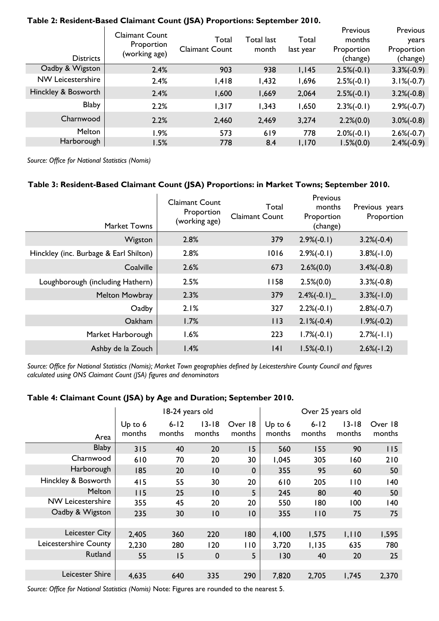| <b>Districts</b>         | <b>Claimant Count</b><br>Proportion<br>(working age) | Total<br><b>Claimant Count</b> | Total last<br>month | Total<br>last year | Previous<br>months<br>Proportion<br>(change) | Previous<br>years<br>Proportion<br>(change) |
|--------------------------|------------------------------------------------------|--------------------------------|---------------------|--------------------|----------------------------------------------|---------------------------------------------|
| Oadby & Wigston          | 2.4%                                                 | 903                            | 938                 | 1,145              | $2.5\%(-0.1)$                                | $3.3\%(-0.9)$                               |
| <b>NW Leicestershire</b> | 2.4%                                                 | 1,418                          | 1,432               | 1,696              | $2.5\%(-0.1)$                                | $3.1\%(-0.7)$                               |
| Hinckley & Bosworth      | 2.4%                                                 | 1,600                          | 1,669               | 2,064              | $2.5\%(-0.1)$                                | $3.2\%(-0.8)$                               |
| <b>Blaby</b>             | 2.2%                                                 | 1,317                          | 1,343               | 1,650              | $2.3\%(-0.1)$                                | $2.9\%(-0.7)$                               |
| Charnwood                | 2.2%                                                 | 2,460                          | 2,469               | 3,274              | $2.2\%(0.0)$                                 | $3.0\%(-0.8)$                               |
| Melton                   | 1.9%                                                 | 573                            | 619                 | 778                | $2.0\%(-0.1)$                                | $2.6\%(-0.7)$                               |
| Harborough               | 1.5%                                                 | 778                            | 8.4                 | 1,170              | $1.5\%(0.0)$                                 | $2.4\%(-0.9)$                               |

#### **Table 2: Resident-Based Claimant Count (JSA) Proportions: September 2010.**

*Source: Office for National Statistics (Nomis)* 

#### **Table 3: Resident-Based Claimant Count (JSA) Proportions: in Market Towns; September 2010.**

| <b>Market Towns</b>                    | <b>Claimant Count</b><br>Proportion<br>(working age) | Total<br><b>Claimant Count</b> | Previous<br>months<br>Proportion<br>(change) | Previous years<br>Proportion |
|----------------------------------------|------------------------------------------------------|--------------------------------|----------------------------------------------|------------------------------|
| Wigston                                | 2.8%                                                 | 379                            | $2.9\%(-0.1)$                                | $3.2\%(-0.4)$                |
| Hinckley (inc. Burbage & Earl Shilton) | 2.8%                                                 | 1016                           | $2.9\%(-0.1)$                                | $3.8\%(-1.0)$                |
| Coalville                              | 2.6%                                                 | 673                            | $2.6\%(0.0)$                                 | $3.4\%(-0.8)$                |
| Loughborough (including Hathern)       | 2.5%                                                 | 1158                           | $2.5\%(0.0)$                                 | $3.3\%(-0.8)$                |
| <b>Melton Mowbray</b>                  | 2.3%                                                 | 379                            | $2.4\%(-0.1)$                                | $3.3\%(-1.0)$                |
| Oadby                                  | 2.1%                                                 | 327                            | $2.2\%(-0.1)$                                | $2.8\%(-0.7)$                |
| Oakham                                 | 1.7%                                                 | 113                            | $2.1\%(-0.4)$                                | $1.9\%(-0.2)$                |
| Market Harborough                      | 1.6%                                                 | 223                            | $1.7\%(-0.1)$                                | $2.7\%(-1.1)$                |
| Ashby de la Zouch                      | 1.4%                                                 | 4                              | $1.5\%(-0.1)$                                | $2.6\%(-1.2)$                |

*Source: Office for National Statistics (Nomis); Market Town geographies defined by Leicestershire County Council and figures calculated using ONS Claimant Count (JSA) figures and denominators* 

#### **Table 4: Claimant Count (JSA) by Age and Duration; September 2010.**

|                       |                     | 18-24 years old    |                     |                   |                   | Over 25 years old  |                     |                   |  |
|-----------------------|---------------------|--------------------|---------------------|-------------------|-------------------|--------------------|---------------------|-------------------|--|
| Area                  | Up to $6$<br>months | $6 - 12$<br>months | $13 - 18$<br>months | Over 18<br>months | Up to 6<br>months | $6 - 12$<br>months | $13 - 18$<br>months | Over 18<br>months |  |
| <b>Blaby</b>          | 315                 | 40                 | 20                  | 15                | 560               | 155                | 90                  | 115               |  |
| Charnwood             | 610                 | 70                 | 20                  | 30                | 1,045             | 305                | 160                 | 210               |  |
| Harborough            | 185                 | 20                 | 10                  | $\boldsymbol{0}$  | 355               | 95                 | 60                  | 50                |  |
| Hinckley & Bosworth   | 415                 | 55                 | 30                  | 20                | 610               | 205                | 110                 | 140               |  |
| Melton                | 115                 | 25                 | 10                  | 5                 | 245               | 80                 | 40                  | 50                |  |
| NW Leicestershire     | 355                 | 45                 | 20                  | 20                | 550               | 180                | 100                 | 140               |  |
| Oadby & Wigston       | 235                 | 30                 | 10                  | 10                | 355               | 110                | 75                  | 75                |  |
|                       |                     |                    |                     |                   |                   |                    |                     |                   |  |
| Leicester City        | 2,405               | 360                | 220                 | 180               | 4,100             | 1,575              | 1,110               | 1,595             |  |
| Leicestershire County | 2,230               | 280                | 120                 | 110               | 3,720             | 1,135              | 635                 | 780               |  |
| Rutland               | 55                  | 15                 | $\mathbf 0$         | 5                 | 130               | 40                 | 20                  | 25                |  |
|                       |                     |                    |                     |                   |                   |                    |                     |                   |  |
| Leicester Shire       | 4,635               | 640                | 335                 | 290               | 7,820             | 2,705              | 1,745               | 2,370             |  |

*Source: Office for National Statistics (Nomis)* Note: Figures are rounded to the nearest 5.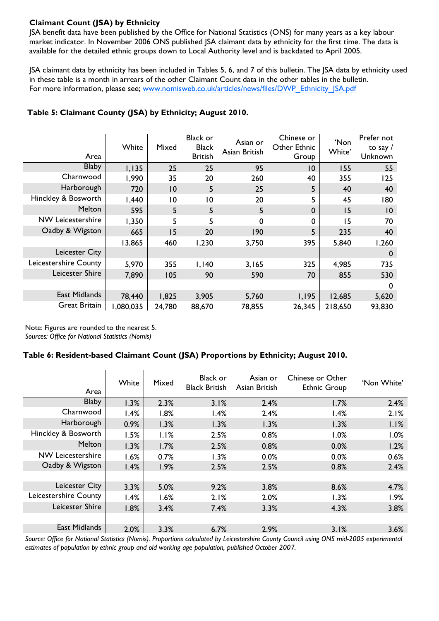### **Claimant Count (JSA) by Ethnicity**

JSA benefit data have been published by the Office for National Statistics (ONS) for many years as a key labour market indicator. In November 2006 ONS published JSA claimant data by ethnicity for the first time. The data is available for the detailed ethnic groups down to Local Authority level and is backdated to April 2005.

JSA claimant data by ethnicity has been included in Tables 5, 6, and 7 of this bulletin. The JSA data by ethnicity used in these table is a month in arrears of the other Claimant Count data in the other tables in the bulletin. For more information, please see; www.nomisweb.co.uk/articles/news/files/DWP\_Ethnicity\_JSA.pdf

| Area                     | White    | Mixed          | <b>Black or</b><br><b>Black</b><br><b>British</b> | Asian or<br>Asian British | Chinese or<br>Other Ethnic<br>Group | 'Non<br>White' | Prefer not<br>to say $/$<br>Unknown |
|--------------------------|----------|----------------|---------------------------------------------------|---------------------------|-------------------------------------|----------------|-------------------------------------|
| <b>Blaby</b>             | 1,135    | 25             | 25                                                | 95                        | 10                                  | 155            | 55                                  |
| Charnwood                | 1,990    | 35             | 20                                                | 260                       | 40                                  | 355            | 125                                 |
| Harborough               | 720      | 10             | 5                                                 | 25                        | 5                                   | 40             | 40                                  |
| Hinckley & Bosworth      | I,440    | $\overline{0}$ | 10                                                | 20                        | 5                                   | 45             | 180                                 |
| Melton                   | 595      | 5              | 5                                                 | 5                         | $\mathbf 0$                         | 15             | 10                                  |
| <b>NW Leicestershire</b> | 1,350    | 5              | 5                                                 | 0                         | 0                                   | 15             | 70                                  |
| Oadby & Wigston          | 665      | 15             | 20                                                | 190                       | 5                                   | 235            | 40                                  |
|                          | 13,865   | 460            | 1,230                                             | 3,750                     | 395                                 | 5,840          | 1,260                               |
| Leicester City           |          |                |                                                   |                           |                                     |                | $\mathbf 0$                         |
| Leicestershire County    | 5,970    | 355            | I, I40                                            | 3,165                     | 325                                 | 4,985          | 735                                 |
| Leicester Shire          | 7,890    | 105            | 90                                                | 590                       | 70                                  | 855            | 530                                 |
|                          |          |                |                                                   |                           |                                     |                | $\mathbf 0$                         |
| <b>East Midlands</b>     | 78,440   | 1,825          | 3,905                                             | 5,760                     | 1,195                               | 12,685         | 5,620                               |
| <b>Great Britain</b>     | ,080,035 | 24,780         | 88,670                                            | 78,855                    | 26,345                              | 218,650        | 93,830                              |

### **Table 5: Claimant County (JSA) by Ethnicity; August 2010.**

Note: Figures are rounded to the nearest 5. *Sources: Office for National Statistics (Nomis)* 

#### **Table 6: Resident-based Claimant Count (JSA) Proportions by Ethnicity; August 2010.**

| Area                  | White | Mixed | <b>Black or</b><br><b>Black British</b> | Asian or<br>Asian British | Chinese or Other<br><b>Ethnic Group</b> | 'Non White' |
|-----------------------|-------|-------|-----------------------------------------|---------------------------|-----------------------------------------|-------------|
| <b>Blaby</b>          | 1.3%  | 2.3%  | 3.1%                                    | 2.4%                      | 1.7%                                    | 2.4%        |
| Charnwood             | 1.4%  | 1.8%  | 1.4%                                    | 2.4%                      | 1.4%                                    | 2.1%        |
| Harborough            | 0.9%  | 1.3%  | 1.3%                                    | 1.3%                      | 1.3%                                    | 1.1%        |
| Hinckley & Bosworth   | 1.5%  | 1.1%  | 2.5%                                    | 0.8%                      | 1.0%                                    | 1.0%        |
| Melton                | 1.3%  | 1.7%  | 2.5%                                    | 0.8%                      | 0.0%                                    | 1.2%        |
| NW Leicestershire     | 1.6%  | 0.7%  | 1.3%                                    | 0.0%                      | 0.0%                                    | 0.6%        |
| Oadby & Wigston       | 1.4%  | 1.9%  | 2.5%                                    | 2.5%                      | 0.8%                                    | 2.4%        |
|                       |       |       |                                         |                           |                                         |             |
| Leicester City        | 3.3%  | 5.0%  | 9.2%                                    | 3.8%                      | 8.6%                                    | 4.7%        |
| Leicestershire County | 1.4%  | 1.6%  | 2.1%                                    | 2.0%                      | 1.3%                                    | 1.9%        |
| Leicester Shire       | 1.8%  | 3.4%  | 7.4%                                    | 3.3%                      | 4.3%                                    | 3.8%        |
|                       |       |       |                                         |                           |                                         |             |
| East Midlands         | 2.0%  | 3.3%  | 6.7%                                    | 2.9%                      | 3.1%                                    | 3.6%        |

*Source: Office for National Statistics (Nomis). Proportions calculated by Leicestershire County Council using ONS mid-2005 experimental estimates of population by ethnic group and old working age population, published October 2007.*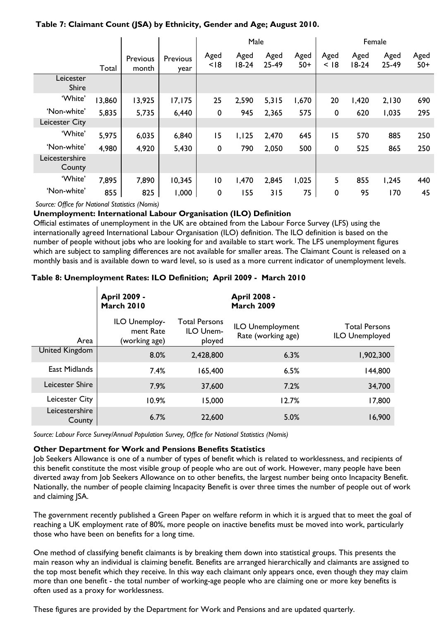### **Table 7: Claimant Count (JSA) by Ethnicity, Gender and Age; August 2010.**

|                          |        |                   |                  | Male           |                 |               |               | Female       |                 |               |               |
|--------------------------|--------|-------------------|------------------|----------------|-----------------|---------------|---------------|--------------|-----------------|---------------|---------------|
|                          | Total  | Previous<br>month | Previous<br>year | Aged<br>< 18   | Aged<br>$18-24$ | Aged<br>25-49 | Aged<br>$50+$ | Aged<br>< 18 | Aged<br>$18-24$ | Aged<br>25-49 | Aged<br>$50+$ |
| Leicester<br>Shire       |        |                   |                  |                |                 |               |               |              |                 |               |               |
| 'White'                  | 13,860 | 13,925            | 17, 175          | 25             | 2,590           | 5,315         | 1,670         | 20           | 1,420           | 2,130         | 690           |
| 'Non-white'              | 5,835  | 5,735             | 6,440            | $\mathbf 0$    | 945             | 2,365         | 575           | 0            | 620             | 1,035         | 295           |
| Leicester City           |        |                   |                  |                |                 |               |               |              |                 |               |               |
| 'White'                  | 5,975  | 6,035             | 6,840            | 15             | 1,125           | 2,470         | 645           | 15           | 570             | 885           | 250           |
| 'Non-white'              | 4,980  | 4,920             | 5,430            | $\mathbf 0$    | 790             | 2,050         | 500           | $\mathbf 0$  | 525             | 865           | 250           |
| Leicestershire<br>County |        |                   |                  |                |                 |               |               |              |                 |               |               |
| 'White'                  | 7,895  | 7,890             | 10,345           | $\overline{0}$ | 1,470           | 2,845         | 1,025         | 5            | 855             | 1,245         | 440           |
| 'Non-white'              | 855    | 825               | 1,000            | $\mathbf 0$    | 155             | 315           | 75            | $\mathbf 0$  | 95              | 170           | 45            |

*Source: Office for National Statistics (Nomis)* 

#### **Unemployment: International Labour Organisation (ILO) Definition**

Official estimates of unemployment in the UK are obtained from the Labour Force Survey (LFS) using the internationally agreed International Labour Organisation (ILO) definition. The ILO definition is based on the number of people without jobs who are looking for and available to start work. The LFS unemployment figures which are subject to sampling differences are not available for smaller areas. The Claimant Count is released on a monthly basis and is available down to ward level, so is used as a more current indicator of unemployment levels.

#### **Table 8: Unemployment Rates: ILO Definition; April 2009 - March 2010**

|                          | <b>April 2009 -</b><br><b>March 2010</b>    |                                             | <b>April 2008 -</b><br><b>March 2009</b>      |                                        |
|--------------------------|---------------------------------------------|---------------------------------------------|-----------------------------------------------|----------------------------------------|
| Area                     | ILO Unemploy-<br>ment Rate<br>(working age) | <b>Total Persons</b><br>ILO Unem-<br>ployed | <b>ILO Unemployment</b><br>Rate (working age) | <b>Total Persons</b><br>ILO Unemployed |
| United Kingdom           | 8.0%                                        | 2,428,800                                   | 6.3%                                          | 1,902,300                              |
| East Midlands            | 7.4%                                        | 65,400                                      | 6.5%                                          | 144,800                                |
| Leicester Shire          | 7.9%                                        | 37,600                                      | 7.2%                                          | 34,700                                 |
| Leicester City           | 10.9%                                       | 15,000                                      | 12.7%                                         | 17,800                                 |
| Leicestershire<br>County | 6.7%                                        | 22,600                                      | 5.0%                                          | 16,900                                 |

*Source: Labour Force Survey/Annual Population Survey, Office for National Statistics (Nomis)* 

#### **Other Department for Work and Pensions Benefits Statistics**

Job Seekers Allowance is one of a number of types of benefit which is related to worklessness, and recipients of this benefit constitute the most visible group of people who are out of work. However, many people have been diverted away from Job Seekers Allowance on to other benefits, the largest number being onto Incapacity Benefit. Nationally, the number of people claiming Incapacity Benefit is over three times the number of people out of work and claiming JSA.

The government recently published a Green Paper on welfare reform in which it is argued that to meet the goal of reaching a UK employment rate of 80%, more people on inactive benefits must be moved into work, particularly those who have been on benefits for a long time.

One method of classifying benefit claimants is by breaking them down into statistical groups. This presents the main reason why an individual is claiming benefit. Benefits are arranged hierarchically and claimants are assigned to the top most benefit which they receive. In this way each claimant only appears once, even though they may claim more than one benefit - the total number of working-age people who are claiming one or more key benefits is often used as a proxy for worklessness.

These figures are provided by the Department for Work and Pensions and are updated quarterly.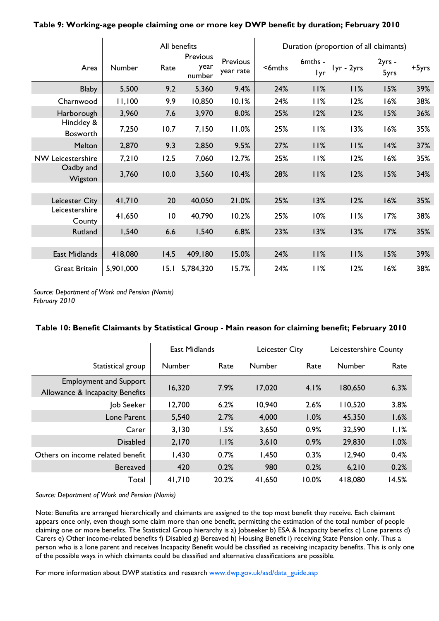|                               |               |      | All benefits               |                       | Duration (proportion of all claimants) |                |            |                |       |
|-------------------------------|---------------|------|----------------------------|-----------------------|----------------------------------------|----------------|------------|----------------|-------|
| Area                          | <b>Number</b> | Rate | Previous<br>year<br>number | Previous<br>year rate | <6mths                                 | 6mths -<br>Iyr | Iyr - 2yrs | 2yrs -<br>5yrs | +5yrs |
| <b>Blaby</b>                  | 5,500         | 9.2  | 5,360                      | 9.4%                  | 24%                                    | 11%            | 11%        | 15%            | 39%   |
| Charnwood                     | 11,100        | 9.9  | 10,850                     | 10.1%                 | 24%                                    | 11%            | 12%        | 16%            | 38%   |
| Harborough                    | 3,960         | 7.6  | 3,970                      | 8.0%                  | 25%                                    | 12%            | 12%        | 15%            | 36%   |
| Hinckley &<br><b>Bosworth</b> | 7,250         | 10.7 | 7,150                      | 11.0%                 | 25%                                    | 11%            | 13%        | 16%            | 35%   |
| Melton                        | 2,870         | 9.3  | 2,850                      | 9.5%                  | 27%                                    | 11%            | 11%        | 14%            | 37%   |
| <b>NW Leicestershire</b>      | 7,210         | 12.5 | 7,060                      | 12.7%                 | 25%                                    | 11%            | 12%        | 16%            | 35%   |
| Oadby and<br>Wigston          | 3,760         | 10.0 | 3,560                      | 10.4%                 | 28%                                    | 11%            | 12%        | 15%            | 34%   |
|                               |               |      |                            |                       |                                        |                |            |                |       |
| Leicester City                | 41,710        | 20   | 40,050                     | 21.0%                 | 25%                                    | 13%            | 12%        | 16%            | 35%   |
| Leicestershire<br>County      | 41,650        | 10   | 40,790                     | 10.2%                 | 25%                                    | 10%            | 11%        | 17%            | 38%   |
| Rutland                       | 1,540         | 6.6  | 1,540                      | 6.8%                  | 23%                                    | 13%            | 13%        | 17%            | 35%   |
|                               |               |      |                            |                       |                                        |                |            |                |       |
| East Midlands                 | 418,080       | 14.5 | 409,180                    | 15.0%                 | 24%                                    | 11%            | 11%        | 15%            | 39%   |
| <b>Great Britain</b>          | 5,901,000     | 15.1 | 5,784,320                  | 15.7%                 | 24%                                    | 11%            | 12%        | 16%            | 38%   |

#### **Table 9: Working-age people claiming one or more key DWP benefit by duration; February 2010**

*Source: Department of Work and Pension (Nomis) February 2010* 

 $\overline{\phantom{a}}$ 

#### **Table 10: Benefit Claimants by Statistical Group - Main reason for claiming benefit; February 2010**

|                                                                  | <b>East Midlands</b> |       | Leicester City |       | Leicestershire County |       |
|------------------------------------------------------------------|----------------------|-------|----------------|-------|-----------------------|-------|
| Statistical group                                                | Number               | Rate  | <b>Number</b>  | Rate  | Number                | Rate  |
| <b>Employment and Support</b><br>Allowance & Incapacity Benefits | 16,320               | 7.9%  | 17,020         | 4.1%  | 180,650               | 6.3%  |
| Job Seeker                                                       | 12,700               | 6.2%  | 10,940         | 2.6%  | 110,520               | 3.8%  |
| Lone Parent                                                      | 5,540                | 2.7%  | 4,000          | 1.0%  | 45,350                | 1.6%  |
| Carer                                                            | 3,130                | 1.5%  | 3,650          | 0.9%  | 32,590                | 1.1%  |
| <b>Disabled</b>                                                  | 2,170                | 1.1%  | 3,610          | 0.9%  | 29,830                | 1.0%  |
| Others on income related benefit                                 | 1,430                | 0.7%  | 1,450          | 0.3%  | 12,940                | 0.4%  |
| <b>Bereaved</b>                                                  | 420                  | 0.2%  | 980            | 0.2%  | 6,210                 | 0.2%  |
| Total                                                            | 41,710               | 20.2% | 41,650         | 10.0% | 418,080               | 14.5% |

*Source: Department of Work and Pension (Nomis)* 

Note: Benefits are arranged hierarchically and claimants are assigned to the top most benefit they receive. Each claimant appears once only, even though some claim more than one benefit, permitting the estimation of the total number of people claiming one or more benefits. The Statistical Group hierarchy is a) Jobseeker b) ESA & Incapacity benefits c) Lone parents d) Carers e) Other income-related benefits f) Disabled g) Bereaved h) Housing Benefit i) receiving State Pension only. Thus a person who is a lone parent and receives Incapacity Benefit would be classified as receiving incapacity benefits. This is only one of the possible ways in which claimants could be classified and alternative classifications are possible.

For more information about DWP statistics and research www.dwp.gov.uk/asd/data\_guide.asp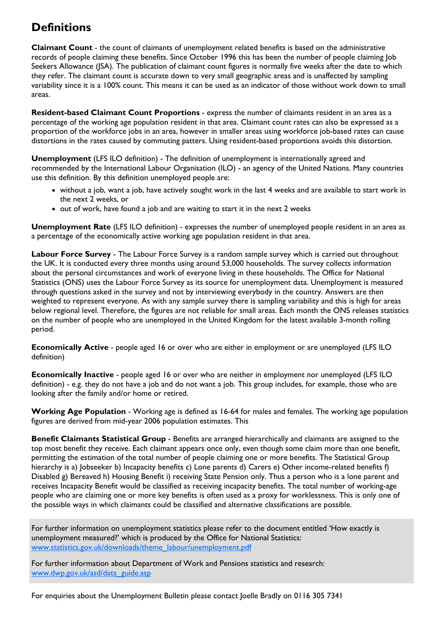# **Definitions**

**Claimant Count** - the count of claimants of unemployment related benefits is based on the administrative records of people claiming these benefits. Since October 1996 this has been the number of people claiming Job Seekers Allowance (JSA). The publication of claimant count figures is normally five weeks after the date to which they refer. The claimant count is accurate down to very small geographic areas and is unaffected by sampling variability since it is a 100% count. This means it can be used as an indicator of those without work down to small areas.

**Resident-based Claimant Count Proportions** - express the number of claimants resident in an area as a percentage of the working age population resident in that area. Claimant count rates can also be expressed as a proportion of the workforce jobs in an area, however in smaller areas using workforce job-based rates can cause distortions in the rates caused by commuting patters. Using resident-based proportions avoids this distortion.

**Unemployment** (LFS ILO definition) - The definition of unemployment is internationally agreed and recommended by the International Labour Organisation (ILO) - an agency of the United Nations. Many countries use this definition. By this definition unemployed people are:

- without a job, want a job, have actively sought work in the last 4 weeks and are available to start work in the next 2 weeks, or
- out of work, have found a job and are waiting to start it in the next 2 weeks

**Unemployment Rate** (LFS ILO definition) - expresses the number of unemployed people resident in an area as a percentage of the economically active working age population resident in that area.

**Labour Force Survey** - The Labour Force Survey is a random sample survey which is carried out throughout the UK. It is conducted every three months using around 53,000 households. The survey collects information about the personal circumstances and work of everyone living in these households. The Office for National Statistics (ONS) uses the Labour Force Survey as its source for unemployment data. Unemployment is measured through questions asked in the survey and not by interviewing everybody in the country. Answers are then weighted to represent everyone. As with any sample survey there is sampling variability and this is high for areas below regional level. Therefore, the figures are not reliable for small areas. Each month the ONS releases statistics on the number of people who are unemployed in the United Kingdom for the latest available 3-month rolling period.

**Economically Active** - people aged 16 or over who are either in employment or are unemployed (LFS ILO definition)

**Economically Inactive** - people aged 16 or over who are neither in employment nor unemployed (LFS ILO definition) - e.g. they do not have a job and do not want a job. This group includes, for example, those who are looking after the family and/or home or retired.

**Working Age Population** - Working age is defined as 16-64 for males and females. The working age population figures are derived from mid-year 2006 population estimates. This

**Benefit Claimants Statistical Group** - Benefits are arranged hierarchically and claimants are assigned to the top most benefit they receive. Each claimant appears once only, even though some claim more than one benefit, permitting the estimation of the total number of people claiming one or more benefits. The Statistical Group hierarchy is a) Jobseeker b) Incapacity benefits c) Lone parents d) Carers e) Other income-related benefits f) Disabled g) Bereaved h) Housing Benefit i) receiving State Pension only. Thus a person who is a lone parent and receives Incapacity Benefit would be classified as receiving incapacity benefits. The total number of working-age people who are claiming one or more key benefits is often used as a proxy for worklessness. This is only one of the possible ways in which claimants could be classified and alternative classifications are possible.

For further information on unemployment statistics please refer to the document entitled 'How exactly is unemployment measured?' which is produced by the Office for National Statistics: www.statistics.gov.uk/downloads/theme\_labour/unemployment.pdf

For further information about Department of Work and Pensions statistics and research: www.dwp.gov.uk/asd/data\_guide.asp

For enquiries about the Unemployment Bulletin please contact Joelle Bradly on 0116 305 7341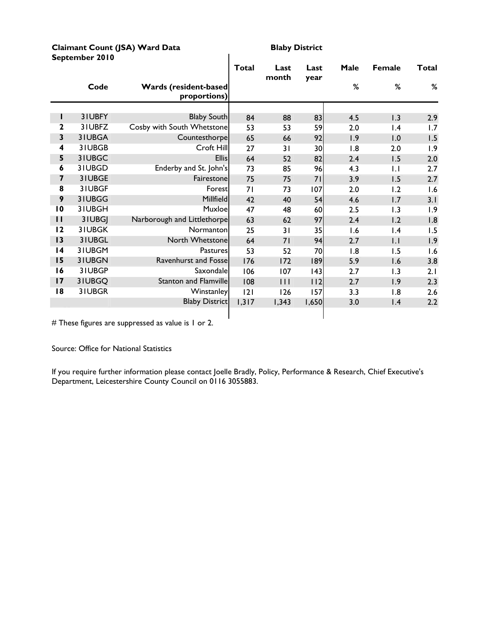#### **Claimant Count (JSA) Ward Data** Blaby District **September 2010**

|                 |        |                                              | <b>Total</b> | Last<br>month | Last<br>year | Male | <b>Female</b> | <b>Total</b> |
|-----------------|--------|----------------------------------------------|--------------|---------------|--------------|------|---------------|--------------|
|                 | Code   | <b>Wards (resident-based</b><br>proportions) |              |               |              | %    | %             | %            |
|                 |        |                                              |              |               |              |      |               |              |
| Ш               | 31UBFY | <b>Blaby South</b>                           | 84           | 88            | 83           | 4.5  | 1.3           | 2.9          |
| $\mathbf{2}$    | 31UBFZ | Cosby with South Whetstone                   | 53           | 53            | 59           | 2.0  | 1.4           | 1.7          |
| 3               | 31UBGA | Countesthorpe                                | 65           | 66            | 92           | 1.9  | 1.0           | 1.5          |
| 4               | 31UBGB | Croft Hill                                   | 27           | 31            | 30           | 1.8  | 2.0           | 1.9          |
| 5               | 31UBGC | <b>Ellis</b>                                 | 64           | 52            | 82           | 2.4  | 1.5           | 2.0          |
| 6               | 31UBGD | Enderby and St. John's                       | 73           | 85            | 96           | 4.3  | $\mathsf{L}$  | 2.7          |
| 7               | 31UBGE | Fairestone                                   | 75           | 75            | 71           | 3.9  | 1.5           | 2.7          |
| 8               | 31UBGF | Forest                                       | 71           | 73            | 107          | 2.0  | 1.2           | 1.6          |
| 9               | 31UBGG | Millfield                                    | 42           | 40            | 54           | 4.6  | 1.7           | 3.1          |
| $\overline{10}$ | 31UBGH | Muxloe                                       | 47           | 48            | 60           | 2.5  | 1.3           | 1.9          |
| $\mathbf{I}$    | 3IUBGJ | Narborough and Littlethorpe                  | 63           | 62            | 97           | 2.4  | 1.2           | 1.8          |
| 12              | 31UBGK | Normanton                                    | 25           | 31            | 35           | 1.6  | 1.4           | 1.5          |
| 13              | 31UBGL | North Whetstone                              | 64           | 71            | 94           | 2.7  | $  \cdot  $   | 1.9          |
| 4               | 31UBGM | Pastures                                     | 53           | 52            | 70           | 1.8  | 1.5           | 1.6          |
| 15              | 31UBGN | <b>Ravenhurst and Fosse</b>                  | 176          | 172           | 189          | 5.9  | 1.6           | 3.8          |
| 16              | 31UBGP | Saxondale                                    | 106          | 107           | 43           | 2.7  | 1.3           | 2.1          |
| 17              | 31UBGQ | <b>Stanton and Flamville</b>                 | 108          | $\mathbf{H}$  | 112          | 2.7  | 1.9           | 2.3          |
| 18              | 31UBGR | Winstanley                                   | 2            | 126           | 157          | 3.3  | 1.8           | 2.6          |
|                 |        | <b>Blaby District</b>                        | 1,317        | 1,343         | 1,650        | 3.0  | 1.4           | 2.2          |
|                 |        |                                              |              |               |              |      |               |              |

 $\overline{\phantom{a}}$ 

# These figures are suppressed as value is 1 or 2.

Source: Office for National Statistics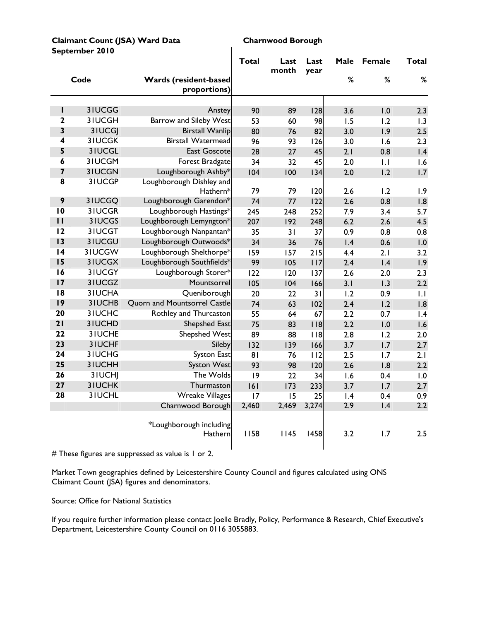| Claimant Count (JSA) Ward Data |  |
|--------------------------------|--|
| September 2010                 |  |

#### **Charnwood Borough**

|                              |                         |                                                 | <b>Total</b> | Last<br>month | Last<br>year | Male | Female | <b>Total</b> |
|------------------------------|-------------------------|-------------------------------------------------|--------------|---------------|--------------|------|--------|--------------|
|                              | Code                    | Wards (resident-based<br>proportions)           |              |               |              | $\%$ | $\%$   | $\%$         |
|                              |                         |                                                 |              |               |              |      |        |              |
| I                            | 3IUCGG                  | Anstey                                          | 90           | 89            | 128          | 3.6  | 1.0    | 2.3          |
| 2                            | 3IUCGH                  | <b>Barrow and Sileby West</b>                   | 53           | 60            | 98           | 1.5  | 1.2    | 1.3          |
| 3                            | 3IUCGJ                  | <b>Birstall Wanlip</b>                          | 80           | 76            | 82           | 3.0  | 1.9    | 2.5          |
| 4                            | <b>3IUCGK</b>           | <b>Birstall Watermead</b>                       | 96           | 93            | 126          | 3.0  | 1.6    | 2.3          |
| 5                            | 31UCGL                  | <b>East Goscote</b>                             | 28           | 27            | 45           | 2.1  | 0.8    | 1.4          |
| 6<br>$\overline{\mathbf{z}}$ | 3IUCGM<br><b>3IUCGN</b> | Forest Bradgate                                 | 34           | 32            | 45           | 2.0  | 1.1    | 1.6          |
| 8                            | 3IUCGP                  | Loughborough Ashby*<br>Loughborough Dishley and | 104          | 100           | 134          | 2.0  | 1.2    | 1.7          |
|                              |                         | Hathern*                                        | 79           | 79            | 120          | 2.6  | 1.2    | 1.9          |
| 9                            | 3IUCGQ                  | Loughborough Garendon*                          | 74           | 77            | 122          | 2.6  | 0.8    | 1.8          |
| $\overline{10}$              | 3IUCGR                  | Loughborough Hastings*                          | 245          | 248           | 252          | 7.9  | 3.4    | 5.7          |
| $\mathbf{H}$                 | 3IUCGS                  | Loughborough Lemyngton*                         | 207          | 192           | 248          | 6.2  | 2.6    | 4.5          |
| 12                           | 3IUCGT                  | Loughborough Nanpantan*                         | 35           | 31            | 37           | 0.9  | 0.8    | 0.8          |
| 13                           | 31UCGU                  | Loughborough Outwoods*                          | 34           | 36            | 76           | 1.4  | 0.6    | 1.0          |
| 14                           | 3IUCGW                  | Loughborough Shelthorpe*                        | 159          | 157           | 215          | 4.4  | 2.1    | 3.2          |
| 15                           | 31UCGX                  | Loughborough Southfields*                       | 99           | 105           | 117          | 2.4  | 1.4    | 1.9          |
| 16                           | 3IUCGY                  | Loughborough Storer*                            | 122          | 120           | 137          | 2.6  | 2.0    | 2.3          |
| 17                           | 3IUCGZ                  | Mountsorrel                                     | 105          | 104           | 166          | 3.1  | 1.3    | 2.2          |
| 8                            | 3IUCHA                  | Queniborough                                    | 20           | 22            | 31           | 1.2  | 0.9    | 1.1          |
| 9                            | 3IUCHB                  | Quorn and Mountsorrel Castle                    | 74           | 63            | 102          | 2.4  | 1.2    | 1.8          |
| 20                           | 3IUCHC                  | Rothley and Thurcaston                          | 55           | 64            | 67           | 2.2  | 0.7    | 1.4          |
| 21                           | 3IUCHD                  | Shepshed East                                   | 75           | 83            | $ $ $ $ 8    | 2.2  | 1.0    | 1.6          |
| 22                           | 3IUCHE                  | <b>Shepshed West</b>                            | 89           | 88            | 118          | 2.8  | 1.2    | 2.0          |
| 23                           | 3IUCHF                  | Sileby                                          | 132          | 139           | 166          | 3.7  | 1.7    | 2.7          |
| 24                           | 3IUCHG                  | <b>Syston East</b>                              | 81           | 76            | 112          | 2.5  | 1.7    | 2.1          |
| 25                           | 3IUCHH                  | <b>Syston West</b>                              | 93           | 98            | 120          | 2.6  | 1.8    | 2.2          |
| 26                           | 3IUCHJ                  | The Wolds                                       | 9            | 22            | 34           | 1.6  | 0.4    | 1.0          |
| 27                           | <b>3IUCHK</b>           | Thurmaston                                      | 161          | 173           | 233          | 3.7  | 1.7    | 2.7          |
| 28                           | 31UCHL                  | <b>Wreake Villages</b>                          | 17           | 15            | 25           | 1.4  | 0.4    | 0.9          |
|                              |                         | Charnwood Borough                               | 2,460        | 2,469         | 3,274        | 2.9  | 1.4    | 2.2          |
|                              |                         | *Loughborough including<br>Hathern              | 1158         | 1145          | 1458         | 3.2  | 1.7    | 2.5          |

 $\mathbf{I}$ 

# These figures are suppressed as value is 1 or 2.

Market Town geographies defined by Leicestershire County Council and figures calculated using ONS Claimant Count (JSA) figures and denominators.

Source: Office for National Statistics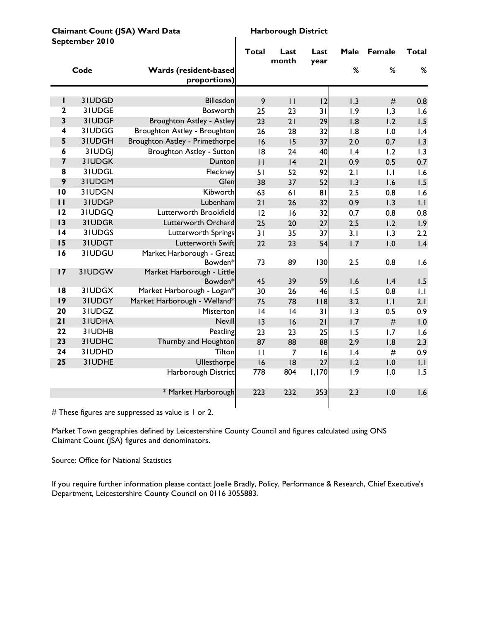**Claimant Count (JSA) Ward Data** Harborough District<br>
Sontomber 2010 **September 2010** 

|                 | Sehrenner fan |                                              | <b>Total</b> | Last<br>month   | Last<br>year | Male            | Female         | <b>Total</b> |
|-----------------|---------------|----------------------------------------------|--------------|-----------------|--------------|-----------------|----------------|--------------|
|                 | Code          | <b>Wards (resident-based</b><br>proportions) |              |                 |              | %               | %              | %            |
|                 |               |                                              |              |                 |              |                 |                |              |
| ı               | 31UDGD        | Billesdon                                    | 9            | $\overline{11}$ | 12           | 1.3             | $\#$           | 0.8          |
| $\mathbf{2}$    | 31UDGE        | <b>Bosworth</b>                              | 25           | 23              | 31           | 1.9             | 1.3            | 1.6          |
| 3               | 31UDGF        | Broughton Astley - Astley                    | 23           | 21              | 29           | 1.8             | 1.2            | 1.5          |
| 4               | 31UDGG        | Broughton Astley - Broughton                 | 26           | 28              | 32           | 1.8             | 1.0            | 1.4          |
| 5               | 3IUDGH        | Broughton Astley - Primethorpe               | 16           | 15              | 37           | 2.0             | 0.7            | 1.3          |
| 6               | 3IUDGJ        | Broughton Astley - Sutton                    | 8            | 24              | 40           | $\mathsf{I}$ .4 | 1.2            | 1.3          |
| 7               | 31UDGK        | Dunton                                       | $\mathbf{H}$ | 4               | 21           | 0.9             | 0.5            | 0.7          |
| 8               | 31UDGL        | Fleckney                                     | 51           | 52              | 92           | 2.1             | $\overline{L}$ | 1.6          |
| 9               | 31UDGM        | Glen                                         | 38           | 37              | 52           | 1.3             | 1.6            | 1.5          |
| $\overline{10}$ | 31UDGN        | Kibworth                                     | 63           | 61              | 81           | 2.5             | 0.8            | 1.6          |
| $\mathbf{I}$    | 31UDGP        | Lubenham                                     | 21           | 26              | 32           | 0.9             | 1.3            | 1.1          |
| 12              | 3IUDGQ        | Lutterworth Brookfield                       | 12           | 16              | 32           | 0.7             | 0.8            | 0.8          |
| 13              | 31UDGR        | Lutterworth Orchard                          | 25           | 20              | 27           | 2.5             | 1.2            | 1.9          |
| $\overline{14}$ | 3IUDGS        | Lutterworth Springs                          | 31           | 35              | 37           | 3.1             | 1.3            | 2.2          |
| 15              | 31UDGT        | Lutterworth Swift                            | 22           | 23              | 54           | 1.7             | 1.0            | 1.4          |
| 16              | 31UDGU        | Market Harborough - Great<br>Bowden*         | 73           | 89              | 130          | 2.5             | 0.8            | 1.6          |
| 17              | 31UDGW        | Market Harborough - Little                   |              |                 |              |                 |                |              |
|                 |               | Bowden*                                      | 45           | 39              | 59           | 1.6             | 1.4            | 1.5          |
| 18              | 31UDGX        | Market Harborough - Logan*                   | 30           | 26              | 46           | 1.5             | 0.8            | .            |
| 9               | 31UDGY        | Market Harborough - Welland*                 | 75           | 78              | 118          | 3.2             | $  \cdot  $    | 2.1          |
| 20              | 3IUDGZ        | Misterton                                    | 4            | 4               | 31           | 1.3             | 0.5            | 0.9          |
| 21              | 31UDHA        | Nevill                                       | 3            | 16              | 21           | 1.7             | $\#$           | 1.0          |
| 22              | 31UDHB        | Peatling                                     | 23           | 23              | 25           | 1.5             | 1.7            | 1.6          |
| 23              | 3IUDHC        | Thurnby and Houghton                         | 87           | 88              | 88           | 2.9             | 1.8            | 2.3          |
| 24              | 31UDHD        | Tilton                                       | $\mathbf{H}$ | $\overline{7}$  | 16           | 1.4             | $\#$           | 0.9          |
| 25              | 31UDHE        | Ullesthorpe                                  | 16           | 8               | 27           | 1.2             | 1.0            | 1.1          |
|                 |               | Harborough District                          | 778          | 804             | 1,170        | 1.9             | 1.0            | 1.5          |
|                 |               | * Market Harborough                          | 223          | 232             | 353          | 2.3             | 1.0            | 1.6          |

# These figures are suppressed as value is 1 or 2.

Market Town geographies defined by Leicestershire County Council and figures calculated using ONS Claimant Count (JSA) figures and denominators.

Source: Office for National Statistics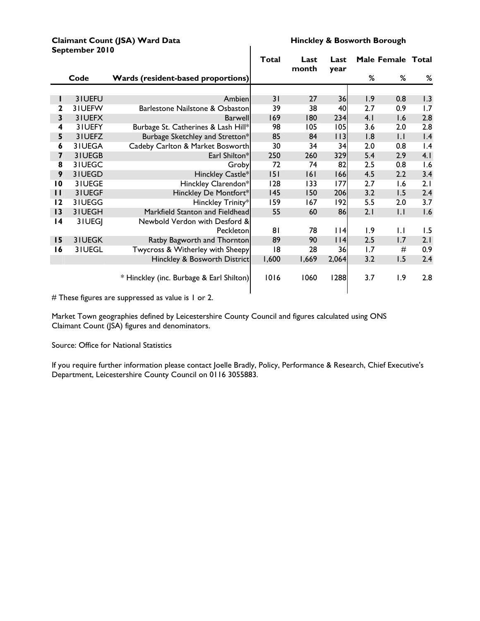#### **Claimant Count (JSA) Ward Data Hinckley & Bosworth Borough**<br>Sentember 2010 **September 2010**

|                         |          |                                          | <b>Total</b> | Last<br>month | Last        |     | Male Female Total |     |
|-------------------------|----------|------------------------------------------|--------------|---------------|-------------|-----|-------------------|-----|
|                         | Code     | Wards (resident-based proportions)       |              |               | year        | %   | %                 | %   |
|                         |          |                                          |              |               |             |     |                   |     |
| L                       | 31UEFU   | Ambien                                   | 31           | 27            | 36          | 1.9 | 0.8               | 1.3 |
| 2                       | 31UEFW   | Barlestone Nailstone & Osbaston          | 39           | 38            | 40          | 2.7 | 0.9               | 1.7 |
| $\overline{\mathbf{3}}$ | 31UEFX   | <b>Barwell</b>                           | 169          | 180           | 234         | 4.1 | 1.6               | 2.8 |
| 4                       | 31UEFY   | Burbage St. Catherines & Lash Hill*      | 98           | 105           | 105         | 3.6 | 2.0               | 2.8 |
| 5                       | 31UEFZ   | Burbage Sketchley and Stretton*          | 85           | 84            | $ $ $ $ $ $ | 1.8 | $  \cdot  $       | 1.4 |
| 6                       | 31UEGA   | Cadeby Carlton & Market Bosworth         | 30           | 34            | 34          | 2.0 | 0.8               | 1.4 |
| $\overline{\mathbf{z}}$ | 31UEGB   | Earl Shilton*                            | 250          | 260           | 329         | 5.4 | 2.9               | 4.1 |
| 8                       | 31UEGC   | Groby                                    | 72           | 74            | 82          | 2.5 | 0.8               | 1.6 |
| 9                       | 31UEGD   | Hinckley Castle*                         | 151          | 6             | 166         | 4.5 | 2.2               | 3.4 |
| $\overline{10}$         | 3 I UEGE | Hinckley Clarendon*                      | 128          | 133           | 177         | 2.7 | 1.6               | 2.1 |
| $\mathbf{H}$            | 31UEGF   | Hinckley De Montfort*                    | 145          | 150           | 206         | 3.2 | 1.5               | 2.4 |
| 12                      | 31UEGG   | Hinckley Trinity*                        | 159          | 167           | 192         | 5.5 | 2.0               | 3.7 |
| $\overline{13}$         | 31UEGH   | Markfield Stanton and Fieldhead          | 55           | 60            | 86          | 2.1 | $  \cdot  $       | 1.6 |
| $\overline{14}$         | 3 I UEGJ | Newbold Verdon with Desford &            |              |               |             |     |                   |     |
|                         |          | Peckleton                                | 81           | 78            | $ $   4     | 1.9 | 1.1               | 1.5 |
| 15                      | 31UEGK   | Ratby Bagworth and Thornton              | 89           | 90            | $ $   4     | 2.5 | 1.7               | 2.1 |
| 16                      | 31UEGL   | Twycross & Witherley with Sheepy         | 18           | 28            | 36          | 1.7 | #                 | 0.9 |
|                         |          | Hinckley & Bosworth District             | 1,600        | 1,669         | 2,064       | 3.2 | 1.5               | 2.4 |
|                         |          | * Hinckley (inc. Burbage & Earl Shilton) | 1016         | 1060          | 1288        | 3.7 | 1.9               | 2.8 |

# These figures are suppressed as value is 1 or 2.

Market Town geographies defined by Leicestershire County Council and figures calculated using ONS Claimant Count (JSA) figures and denominators.

#### Source: Office for National Statistics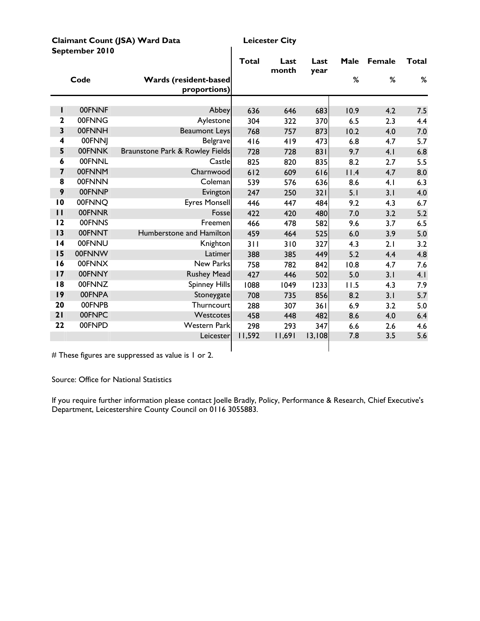| Claimant Count (JSA) Ward Data |  |
|--------------------------------|--|
| September 2010                 |  |

**Leicester City** 

|                         |               |                                              | Total  | Last<br>month | Last<br>year | Male | <b>Female</b> | Total |
|-------------------------|---------------|----------------------------------------------|--------|---------------|--------------|------|---------------|-------|
|                         | Code          | <b>Wards (resident-based</b><br>proportions) |        |               |              | %    | %             | %     |
|                         |               |                                              |        |               |              |      |               |       |
| L                       | 00FNNF        | Abbey                                        | 636    | 646           | 683          | 10.9 | 4.2           | 7.5   |
| $\overline{2}$          | 00FNNG        | Aylestone                                    | 304    | 322           | 370          | 6.5  | 2.3           | 4.4   |
| $\overline{\mathbf{3}}$ | 00FNNH        | <b>Beaumont Leys</b>                         | 768    | 757           | 873          | 10.2 | 4.0           | 7.0   |
| $\overline{\mathbf{4}}$ | 00FNNJ        | <b>Belgrave</b>                              | 416    | 419           | 473          | 6.8  | 4.7           | 5.7   |
| 5                       | 00FNNK        | Braunstone Park & Rowley Fields              | 728    | 728           | 831          | 9.7  | 4.1           | 6.8   |
| 6                       | <b>00FNNL</b> | Castle                                       | 825    | 820           | 835          | 8.2  | 2.7           | 5.5   |
| $\overline{\mathbf{z}}$ | 00FNNM        | Charnwood                                    | 612    | 609           | 616          | 11.4 | 4.7           | 8.0   |
| $\overline{\mathbf{8}}$ | 00FNNN        | Coleman                                      | 539    | 576           | 636          | 8.6  | 4.1           | 6.3   |
| 9                       | 00FNNP        | Evington                                     | 247    | 250           | 321          | 5.1  | 3.1           | 4.0   |
| $\overline{10}$         | 00FNNO        | <b>Eyres Monsell</b>                         | 446    | 447           | 484          | 9.2  | 4.3           | 6.7   |
| $\mathbf{I}$            | 00FNNR        | Fosse                                        | 422    | 420           | 480          | 7.0  | 3.2           | 5.2   |
| 12                      | 00FNNS        | Freemen                                      | 466    | 478           | 582          | 9.6  | 3.7           | 6.5   |
| 13                      | 00FNNT        | Humberstone and Hamilton                     | 459    | 464           | 525          | 6.0  | 3.9           | 5.0   |
| $\overline{14}$         | 00FNNU        | Knighton                                     | 311    | 310           | 327          | 4.3  | 2.1           | 3.2   |
| 15                      | 00FNNW        | Latimer                                      | 388    | 385           | 449          | 5.2  | 4.4           | 4.8   |
| 16                      | 00FNNX        | New Parks                                    | 758    | 782           | 842          | 10.8 | 4.7           | 7.6   |
| 17                      | 00FNNY        | <b>Rushey Mead</b>                           | 427    | 446           | 502          | 5.0  | 3.1           | 4.1   |
| 8                       | 00FNNZ        | <b>Spinney Hills</b>                         | 1088   | 1049          | 1233         | 11.5 | 4.3           | 7.9   |
| 19                      | 00FNPA        | Stoneygate                                   | 708    | 735           | 856          | 8.2  | 3.1           | 5.7   |
| 20                      | 00FNPB        | Thurncourt                                   | 288    | 307           | 361          | 6.9  | 3.2           | 5.0   |
| 21                      | 00FNPC        | Westcotes                                    | 458    | 448           | 482          | 8.6  | 4.0           | 6.4   |
| 22                      | 00FNPD        | <b>Western Park</b>                          | 298    | 293           | 347          | 6.6  | 2.6           | 4.6   |
|                         |               | Leicester                                    | 11,592 | 11,691        | 13,108       | 7.8  | 3.5           | 5.6   |
|                         |               |                                              |        |               |              |      |               |       |

 $\mathbf{I}$ 

# These figures are suppressed as value is 1 or 2.

Source: Office for National Statistics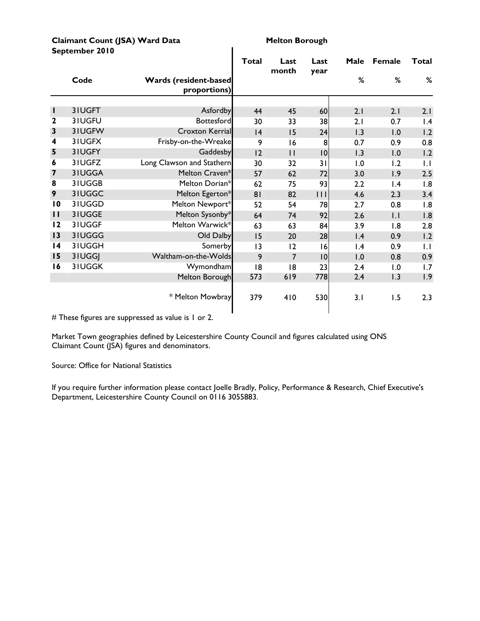| Claimant Count (JSA) Ward Data |
|--------------------------------|
| September 2010                 |

**Melton Borough** 

|                         |               |                                       | Total | Last<br>month   | Last<br>year     | Male            | <b>Female</b>   | <b>Total</b>    |
|-------------------------|---------------|---------------------------------------|-------|-----------------|------------------|-----------------|-----------------|-----------------|
|                         | Code          | Wards (resident-based<br>proportions) |       |                 |                  | %               | %               | %               |
|                         |               |                                       |       |                 |                  |                 |                 |                 |
| L                       | 3IUGFT        | Asfordby                              | 44    | 45              | 60               | 2.1             | 2.1             | 2.1             |
| $\mathbf{2}$            | 31UGFU        | Bottesford                            | 30    | 33              | 38               | 2.1             | 0.7             | $\mathsf{I}$ .4 |
| $\mathbf{3}$            | 31UGFW        | Croxton Kerrial                       | 4     | 15              | 24               | 1.3             | 1.0             | 1.2             |
| 4                       | 3IUGFX        | Frisby-on-the-Wreake                  | 9     | 16              | 8                | 0.7             | 0.9             | 0.8             |
| 5                       | 3IUGFY        | Gaddesby                              | 12    | $\mathbf{H}$    | 10               | 1.3             | 1.0             | 1.2             |
| 6                       | 3IUGFZ        | Long Clawson and Stathern             | 30    | 32              | 31               | 1.0             | 1.2             | $\mathsf{L}$    |
| $\overline{\mathbf{z}}$ | 3IUGGA        | Melton Craven*                        | 57    | 62              | 72               | 3.0             | 1.9             | 2.5             |
| 8                       | 31UGGB        | Melton Dorian*                        | 62    | 75              | 93               | 2.2             | $\mathsf{I}$ .4 | 1.8             |
| 9                       | 3IUGGC        | Melton Egerton*                       | 81    | 82              | $\overline{111}$ | 4.6             | 2.3             | 3.4             |
| $\overline{10}$         | 31UGGD        | Melton Newport*                       | 52    | 54              | 78               | 2.7             | 0.8             | 1.8             |
| $\mathbf{H}$            | 31UGGE        | Melton Sysonby*                       | 64    | 74              | 92               | 2.6             | .               | 1.8             |
| 12                      | 31UGGF        | Melton Warwick*                       | 63    | 63              | 84               | 3.9             | 1.8             | 2.8             |
| 13                      | 31UGGG        | Old Dalby                             | 15    | 20              | 28               | 1.4             | 0.9             | 1.2             |
| $\overline{14}$         | 31UGGH        | Somerby                               | 13    | $\overline{12}$ | 16               | $\mathsf{I}$ .4 | 0.9             | $  \cdot  $     |
| 15                      | 31UGGJ        | Waltham-on-the-Wolds                  | 9     | $\overline{7}$  | 10               | 1.0             | 0.8             | 0.9             |
| 16                      | <b>3IUGGK</b> | Wymondham                             | 18    | 18              | 23               | 2.4             | 1.0             | 1.7             |
|                         |               | Melton Borough                        | 573   | 619             | 778              | 2.4             | 1.3             | 1.9             |
|                         |               | * Melton Mowbray                      | 379   | 410             | 530              | 3.1             | 1.5             | 2.3             |

 $\overline{\phantom{a}}$ 

# These figures are suppressed as value is 1 or 2.

Market Town geographies defined by Leicestershire County Council and figures calculated using ONS Claimant Count (JSA) figures and denominators.

Source: Office for National Statistics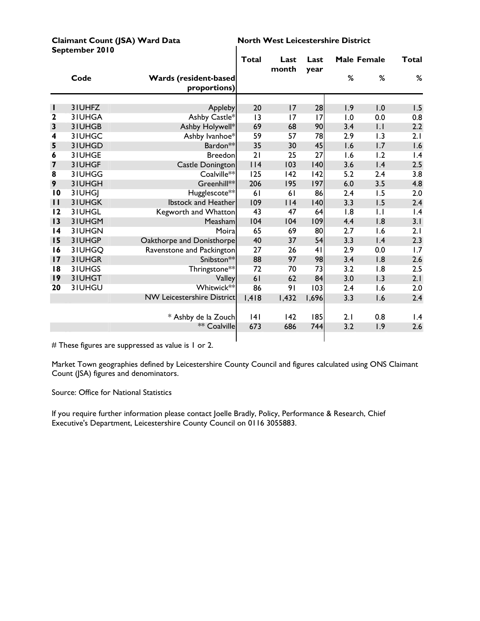|                 | September 2010 |                                               |        |               |              |                    |                  |       |
|-----------------|----------------|-----------------------------------------------|--------|---------------|--------------|--------------------|------------------|-------|
|                 |                |                                               | Total  | Last<br>month | Last<br>year | <b>Male Female</b> |                  | Total |
|                 | Code           | <b>Wards (resident-based)</b><br>proportions) |        |               |              | %                  | %                | %     |
|                 |                |                                               |        |               |              |                    |                  |       |
| н               | 3IUHFZ         | Appleby                                       | 20     | 17            | 28           | 1.9                | 1.0              | 1.5   |
| $\mathbf{2}$    | 3IUHGA         | Ashby Castle*                                 | 3      | 17            | 17           | 1.0                | 0.0              | 0.8   |
| 3               | 3IUHGB         | Ashby Holywell*                               | 69     | 68            | 90           | 3.4                | $  \cdot  $      | 2.2   |
| 4               | 3IUHGC         | Ashby Ivanhoe*                                | 59     | 57            | 78           | 2.9                | $\overline{1.3}$ | 2.1   |
| 5               | 3IUHGD         | Bardon**                                      | 35     | 30            | 45           | 1.6                | 1.7              | 1.6   |
| 6               | 31UHGE         | <b>Breedon</b>                                | 21     | 25            | 27           | 1.6                | 1.2              | 1.4   |
| 7               | 3IUHGF         | <b>Castle Donington</b>                       | $ $  4 | 103           | 140          | 3.6                | 1.4              | 2.5   |
| 8               | 3IUHGG         | Coalville**                                   | 125    | 142           | 142          | 5.2                | 2.4              | 3.8   |
| 9               | 3IUHGH         | Greenhill**                                   | 206    | 195           | 197          | 6.0                | 3.5              | 4.8   |
| $\overline{10}$ | 3IUHGI         | Hugglescote**                                 | 61     | 61            | 86           | 2.4                | 1.5              | 2.0   |
| $\mathbf{H}$    | 3IUHGK         | <b>Ibstock and Heather</b>                    | 109    | $ $   4       | 140          | 3.3                | 1.5              | 2.4   |
| 12              | 31UHGL         | Kegworth and Whatton                          | 43     | 47            | 64           | 1.8                | $\overline{1}$ . | 1.4   |
| 13              | 31UHGM         | Measham                                       | 104    | 104           | 109          | 4.4                | 1.8              | 3.1   |
| $\overline{14}$ | 3IUHGN         | Moira                                         | 65     | 69            | 80           | 2.7                | 1.6              | 2.1   |
| 15              | 3IUHGP         | Oakthorpe and Donisthorpe                     | 40     | 37            | 54           | 3.3                | $\mathsf{I}$ .4  | 2.3   |
| 16              | 31UHGQ         | Ravenstone and Packington                     | 27     | 26            | 41           | 2.9                | 0.0              | 1.7   |
| 17              | 31UHGR         | Snibston**                                    | 88     | 97            | 98           | 3.4                | 1.8              | 2.6   |
| 18              | 3IUHGS         | Thringstone**                                 | 72     | 70            | 73           | 3.2                | 1.8              | 2.5   |
| 9               | 3IUHGT         | Valley                                        | 61     | 62            | 84           | 3.0                | 1.3              | 2.1   |
| 20              | 3IUHGU         | Whitwick**                                    | 86     | 91            | 103          | 2.4                | 1.6              | 2.0   |
|                 |                | <b>NW Leicestershire District</b>             | 1,418  | I,432         | 1,696        | 3.3                | 1.6              | 2.4   |
|                 |                | * Ashby de la Zouch                           | 4      | 142           | 185          | 2.1                | 0.8              | 1.4   |
|                 |                | ** Coalville                                  | 673    | 686           | 744          | 3.2                | 1.9              | 2.6   |
|                 |                |                                               |        |               |              |                    |                  |       |

Claimant Count (JSA) Ward Data **North West Leicestershire District** 

# These figures are suppressed as value is 1 or 2.

Market Town geographies defined by Leicestershire County Council and figures calculated using ONS Claimant Count (JSA) figures and denominators.

Source: Office for National Statistics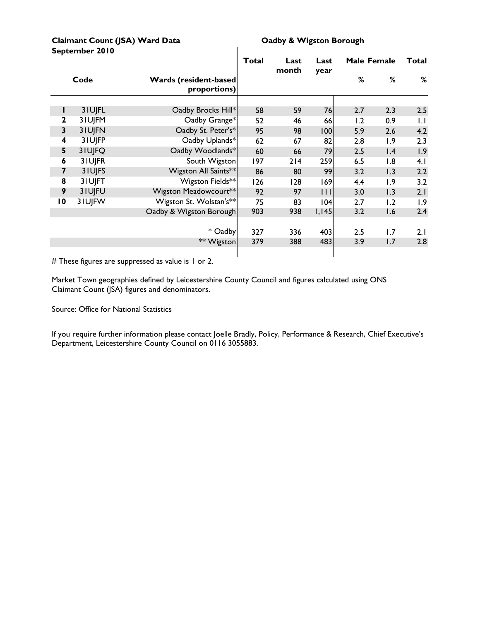#### Claimant Count (JSA) Ward Data **CLA CLAIM** Oadby & Wigston Borough **September 2010**

|                 |        |                                               | <b>Total</b> | Last<br>month | Last                |         | <b>Male Female</b> | Total        |
|-----------------|--------|-----------------------------------------------|--------------|---------------|---------------------|---------|--------------------|--------------|
|                 | Code   | <b>Wards (resident-based)</b><br>proportions) |              |               | year                | ℅       | %                  | %            |
|                 |        |                                               |              |               |                     |         |                    |              |
|                 | 3IUJFL | Oadby Brocks Hill*                            | 58           | 59            | 76                  | 2.7     | 2.3                | 2.5          |
| 2               | 3IUJFM | Oadby Grange*                                 | 52           | 46            | 66                  | 1.2     | 0.9                | $\mathsf{L}$ |
| 3               | 3IUJFN | Oadby St. Peter's*                            | 95           | 98            | 100                 | 5.9     | 2.6                | 4.2          |
| 4               | 3IUJFP | Oadby Uplands*                                | 62           | 67            | 82                  | 2.8     | 1.9                | 2.3          |
| 5               | 3IUJFQ | Oadby Woodlands*                              | 60           | 66            | 79                  | 2.5     | 1.4                | 1.9          |
| 6               | 3IUJFR | South Wigston                                 | 197          | 214           | 259                 | 6.5     | 1.8                | 4.1          |
| 7               | 31UJFS | Wigston All Saints**                          | 86           | 80            | 99                  | 3.2     | 1.3                | 2.2          |
| 8               | 3IUJFT | Wigston Fields**                              | 126          | 128           | 169                 | 4.4     | 1.9                | 3.2          |
| 9               | 3IUJFU | Wigston Meadowcourt**                         | 92           | 97            | $\vert \vert \vert$ | 3.0     | 1.3                | 2.1          |
| $\overline{10}$ | 3IUJFW | Wigston St. Wolstan's**                       | 75           | 83            | 104                 | 2.7     | 1.2                | 1.9          |
|                 |        | Oadby & Wigston Borough                       | 903          | 938           | 1,145               | 3.2     | 1.6                | 2.4          |
|                 |        |                                               |              |               |                     |         |                    |              |
|                 |        | * Oadby                                       | 327          | 336           | 403                 | $2.5\,$ | 1.7                | 2.1          |
|                 |        | ** Wigston                                    | 379          | 388           | 483                 | 3.9     | 1.7                | 2.8          |
|                 |        |                                               |              |               |                     |         |                    |              |

 $\mathbf{I}$ 

# These figures are suppressed as value is 1 or 2.

Market Town geographies defined by Leicestershire County Council and figures calculated using ONS Claimant Count (JSA) figures and denominators.

Source: Office for National Statistics